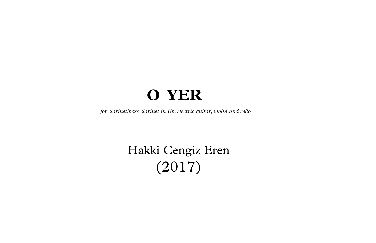## Hakki Cengiz Eren (2017)

## **O YER**

*for clarinet/bass clarinet in Bb,electric guitar, violin and cello*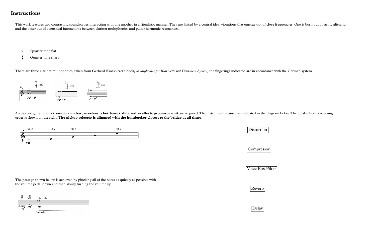Quarter tone sharp

There are three clarinet multiphonics, taken from Gerhard Krassnitzer's book, Multiphonics für Klarinette mit Deuschem System, the fingerings indicated are in accordance with the German system



## **Instructions**

An electric guitar with a tremolo arm bar, an e-bow, a bottleneck slide and an effects processor unit are required. The instrument is tuned as indicated in the diagram below. The ideal effects processing order is shown on the right. **The pickup selector is alingned with the humbucker closest to the bridge atall times.**

This work features two contrasting soundscapes interacting with one another in a ritualistic manner. They are linked by a central idea, vibrations that emerge out of close frequencies. One is born out of string glissandi and the other out of acoustical interactions between clarinet multiphonics and guitar harmonic resonances.



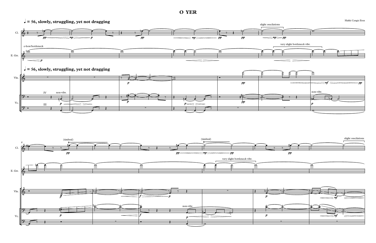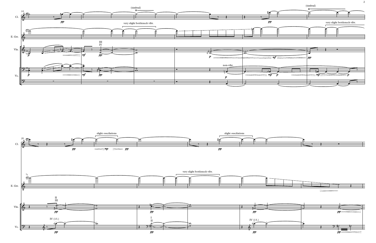

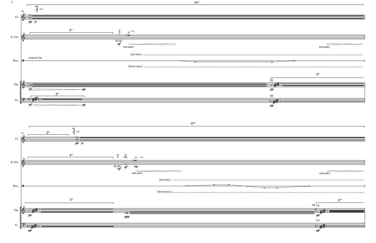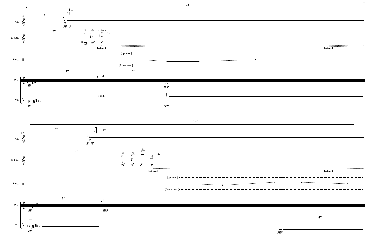

|                                      | $[\mathrm{vol},\overline{\mathrm{ped.}}]$ |
|--------------------------------------|-------------------------------------------|
|                                      |                                           |
|                                      |                                           |
|                                      |                                           |
|                                      |                                           |
|                                      |                                           |
|                                      |                                           |
|                                      |                                           |
|                                      |                                           |
|                                      |                                           |
|                                      |                                           |
|                                      |                                           |
|                                      |                                           |
|                                      |                                           |
|                                      |                                           |
|                                      |                                           |
|                                      |                                           |
|                                      |                                           |
|                                      |                                           |
|                                      |                                           |
|                                      |                                           |
|                                      |                                           |
|                                      |                                           |
|                                      |                                           |
|                                      |                                           |
|                                      |                                           |
|                                      |                                           |
|                                      |                                           |
|                                      |                                           |
|                                      |                                           |
|                                      |                                           |
|                                      |                                           |
|                                      |                                           |
|                                      |                                           |
|                                      |                                           |
|                                      |                                           |
|                                      |                                           |
|                                      |                                           |
|                                      |                                           |
|                                      |                                           |
|                                      |                                           |
|                                      |                                           |
|                                      |                                           |
|                                      |                                           |
|                                      |                                           |
|                                      |                                           |
|                                      |                                           |
|                                      |                                           |
|                                      | O<br>[vol. ped.]                          |
|                                      |                                           |
|                                      |                                           |
| ----------------------               | ---------------                           |
|                                      |                                           |
|                                      | t                                         |
|                                      |                                           |
|                                      |                                           |
|                                      |                                           |
|                                      |                                           |
|                                      |                                           |
|                                      |                                           |
|                                      |                                           |
|                                      |                                           |
|                                      |                                           |
|                                      |                                           |
|                                      |                                           |
|                                      |                                           |
|                                      |                                           |
|                                      |                                           |
|                                      |                                           |
| 4"                                   |                                           |
| $\Gamma$                             | I                                         |
|                                      |                                           |
|                                      |                                           |
| $\overline{\bullet}$ .<br><b>ppp</b> |                                           |

 $\overline{4}$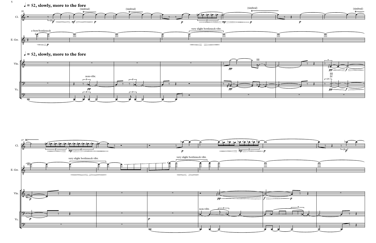

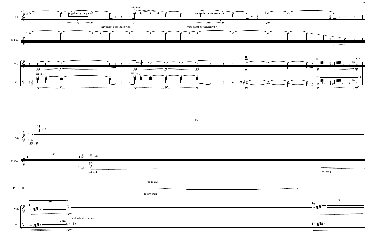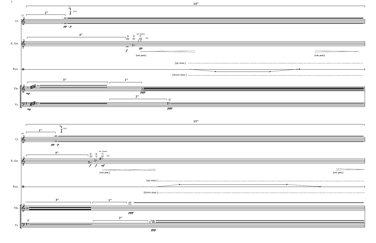

 $ppp$ 

| 0           |
|-------------|
| [vol. ped.] |
|             |
|             |
|             |
|             |
|             |
|             |
|             |
|             |
|             |
|             |
|             |
|             |
|             |
|             |
|             |
|             |
|             |
|             |
|             |
|             |
|             |
|             |
|             |
|             |
|             |
|             |
| [vol. ped.] |
|             |
|             |
|             |
|             |
|             |
|             |
|             |
|             |
|             |
|             |
|             |
|             |
|             |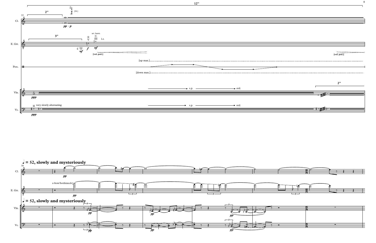

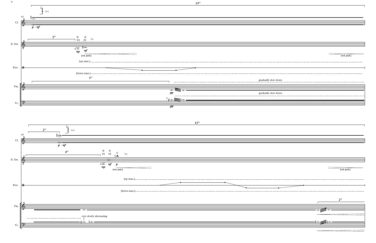

|      | [vol. ped.] |
|------|-------------|
|      |             |
|      |             |
| down |             |
|      |             |
| down |             |
|      |             |
|      |             |
|      |             |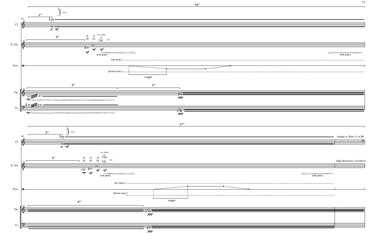

|                    | $[\mathrm{vol.~ped.}]$      |
|--------------------|-----------------------------|
|                    |                             |
|                    |                             |
|                    |                             |
|                    |                             |
|                    |                             |
|                    |                             |
|                    |                             |
|                    |                             |
|                    |                             |
|                    |                             |
|                    |                             |
|                    |                             |
|                    |                             |
|                    |                             |
|                    |                             |
|                    |                             |
|                    |                             |
|                    |                             |
|                    | change to Bass cl. in Bb    |
|                    |                             |
|                    |                             |
|                    |                             |
|                    |                             |
|                    |                             |
|                    | high distortion (overdrive) |
|                    |                             |
| $\overline{\circ}$ |                             |
| [vol. ped.]        |                             |
|                    |                             |
|                    |                             |
|                    |                             |
|                    |                             |
|                    |                             |
|                    |                             |
|                    |                             |
|                    |                             |
|                    |                             |
|                    |                             |
|                    |                             |
|                    |                             |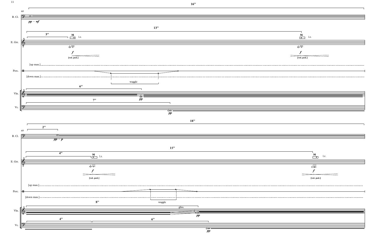